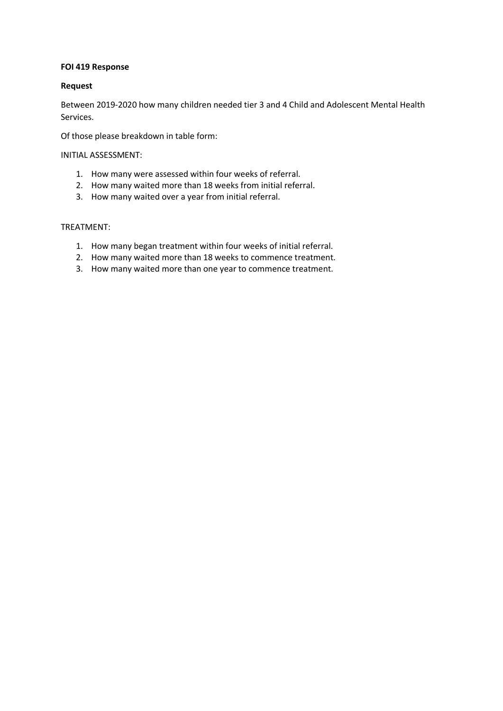## **FOI 419 Response**

## **Request**

Between 2019-2020 how many children needed tier 3 and 4 Child and Adolescent Mental Health Services.

Of those please breakdown in table form:

#### INITIAL ASSESSMENT:

- 1. How many were assessed within four weeks of referral.
- 2. How many waited more than 18 weeks from initial referral.
- 3. How many waited over a year from initial referral.

# TREATMENT:

- 1. How many began treatment within four weeks of initial referral.
- 2. How many waited more than 18 weeks to commence treatment.
- 3. How many waited more than one year to commence treatment.